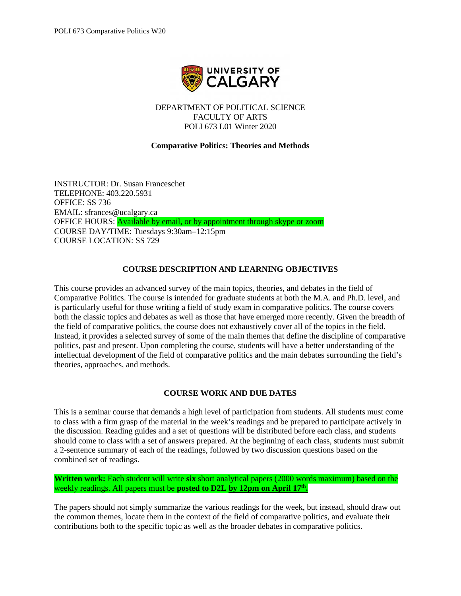

DEPARTMENT OF POLITICAL SCIENCE FACULTY OF ARTS POLI 673 L01 Winter 2020

# **Comparative Politics: Theories and Methods**

INSTRUCTOR: Dr. Susan Franceschet TELEPHONE: 403.220.5931 OFFICE: SS 736 EMAIL: sfrances@ucalgary.ca OFFICE HOURS: Available by email, or by appointment through skype or zoom COURSE DAY/TIME: Tuesdays 9:30am–12:15pm COURSE LOCATION: SS 729

# **COURSE DESCRIPTION AND LEARNING OBJECTIVES**

This course provides an advanced survey of the main topics, theories, and debates in the field of Comparative Politics. The course is intended for graduate students at both the M.A. and Ph.D. level, and is particularly useful for those writing a field of study exam in comparative politics. The course covers both the classic topics and debates as well as those that have emerged more recently. Given the breadth of the field of comparative politics, the course does not exhaustively cover all of the topics in the field. Instead, it provides a selected survey of some of the main themes that define the discipline of comparative politics, past and present. Upon completing the course, students will have a better understanding of the intellectual development of the field of comparative politics and the main debates surrounding the field's theories, approaches, and methods.

# **COURSE WORK AND DUE DATES**

This is a seminar course that demands a high level of participation from students. All students must come to class with a firm grasp of the material in the week's readings and be prepared to participate actively in the discussion. Reading guides and a set of questions will be distributed before each class, and students should come to class with a set of answers prepared. At the beginning of each class, students must submit a 2-sentence summary of each of the readings, followed by two discussion questions based on the combined set of readings.

**Written work:** Each student will write **six** short analytical papers (2000 words maximum) based on the weekly readings. All papers must be **posted to D2L by 12pm on April 17<sup>th</sup>.** 

The papers should not simply summarize the various readings for the week, but instead, should draw out the common themes, locate them in the context of the field of comparative politics, and evaluate their contributions both to the specific topic as well as the broader debates in comparative politics.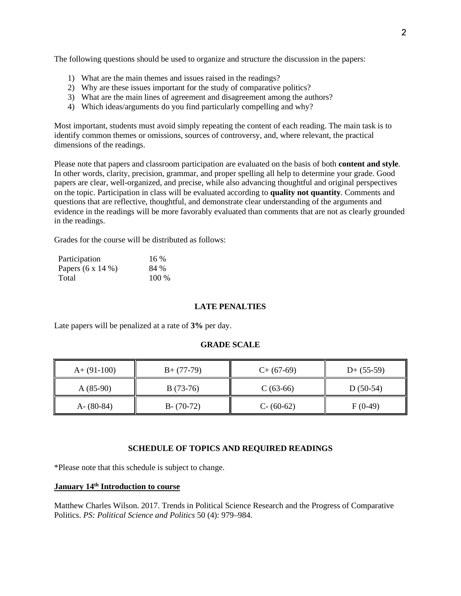The following questions should be used to organize and structure the discussion in the papers:

- 1) What are the main themes and issues raised in the readings?
- 2) Why are these issues important for the study of comparative politics?
- 3) What are the main lines of agreement and disagreement among the authors?
- 4) Which ideas/arguments do you find particularly compelling and why?

Most important, students must avoid simply repeating the content of each reading. The main task is to identify common themes or omissions, sources of controversy, and, where relevant, the practical dimensions of the readings.

Please note that papers and classroom participation are evaluated on the basis of both **content and style**. In other words, clarity, precision, grammar, and proper spelling all help to determine your grade. Good papers are clear, well-organized, and precise, while also advancing thoughtful and original perspectives on the topic. Participation in class will be evaluated according to **quality not quantity**. Comments and questions that are reflective, thoughtful, and demonstrate clear understanding of the arguments and evidence in the readings will be more favorably evaluated than comments that are not as clearly grounded in the readings.

Grades for the course will be distributed as follows:

| Participation            | $16\%$  |
|--------------------------|---------|
| Papers $(6 \times 14\%)$ | 84 %    |
| Total                    | $100\%$ |

# **LATE PENALTIES**

Late papers will be penalized at a rate of **3%** per day.

## **GRADE SCALE**

| $A+ (91-100)$ | $B+ (77-79)$  | $C+$ (67-69)  | $D+ (55-59)$ |
|---------------|---------------|---------------|--------------|
| $A(85-90)$    | $B(73-76)$    | $C(63-66)$    | $D(50-54)$   |
| A- $(80-84)$  | $B - (70-72)$ | $C - (60-62)$ | $F(0-49)$    |

#### **SCHEDULE OF TOPICS AND REQUIRED READINGS**

\*Please note that this schedule is subject to change.

## **January 14th Introduction to course**

Matthew Charles Wilson. 2017. Trends in Political Science Research and the Progress of Comparative Politics. *PS: Political Science and Politics* 50 (4): 979–984.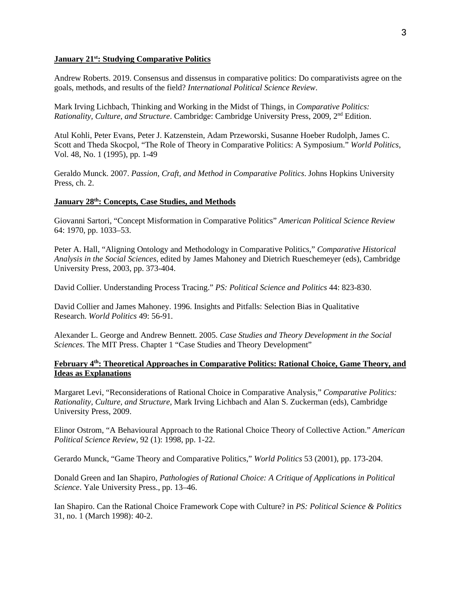#### **January 21st: Studying Comparative Politics**

Andrew Roberts. 2019. Consensus and dissensus in comparative politics: Do comparativists agree on the goals, methods, and results of the field? *International Political Science Review*.

Mark Irving Lichbach, Thinking and Working in the Midst of Things, in *Comparative Politics: Rationality, Culture, and Structure*. Cambridge: Cambridge University Press, 2009, 2nd Edition.

Atul Kohli, Peter Evans, Peter J. Katzenstein, Adam Przeworski, Susanne Hoeber Rudolph, James C. Scott and Theda Skocpol, "The Role of Theory in Comparative Politics: A Symposium." *World Politics*, Vol. 48, No. 1 (1995), pp. 1-49

Geraldo Munck. 2007. *Passion, Craft, and Method in Comparative Politics*. Johns Hopkins University Press, ch. 2.

### **January 28th: Concepts, Case Studies, and Methods**

Giovanni Sartori, "Concept Misformation in Comparative Politics" *American Political Science Review* 64: 1970, pp. 1033–53.

Peter A. Hall, "Aligning Ontology and Methodology in Comparative Politics," *Comparative Historical Analysis in the Social Sciences*, edited by James Mahoney and Dietrich Rueschemeyer (eds), Cambridge University Press, 2003, pp. 373-404.

David Collier. Understanding Process Tracing." *PS: Political Science and Politics* 44: 823-830.

David Collier and James Mahoney. 1996. Insights and Pitfalls: Selection Bias in Qualitative Research. *World Politics* 49: 56-91.

Alexander L. George and Andrew Bennett. 2005. *Case Studies and Theory Development in the Social Sciences*. The MIT Press. Chapter 1 "Case Studies and Theory Development"

# **February 4th: Theoretical Approaches in Comparative Politics: Rational Choice, Game Theory, and Ideas as Explanations**

Margaret Levi, "Reconsiderations of Rational Choice in Comparative Analysis," *Comparative Politics: Rationality, Culture, and Structure*, Mark Irving Lichbach and Alan S. Zuckerman (eds), Cambridge University Press, 2009.

Elinor Ostrom, "A Behavioural Approach to the Rational Choice Theory of Collective Action." *American Political Science Review*, 92 (1): 1998, pp. 1-22.

Gerardo Munck, "Game Theory and Comparative Politics," *World Politics* 53 (2001), pp. 173-204.

Donald Green and Ian Shapiro, *Pathologies of Rational Choice: A Critique of Applications in Political Science*. Yale University Press., pp. 13–46.

Ian Shapiro. Can the Rational Choice Framework Cope with Culture? in *PS: Political Science & Politics*  31, no. 1 (March 1998): 40-2.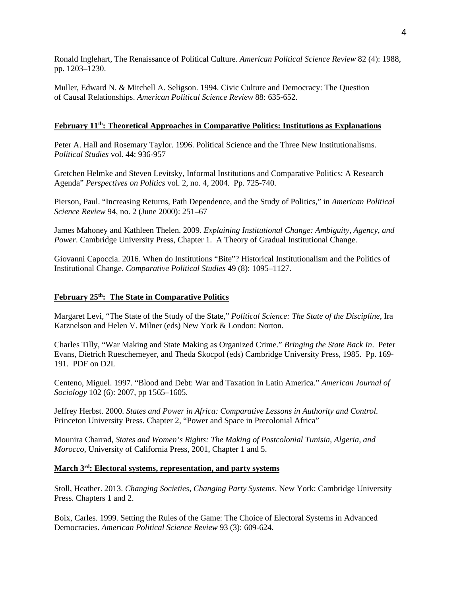Ronald Inglehart, The Renaissance of Political Culture. *American Political Science Review* 82 (4): 1988, pp. 1203–1230.

Muller, Edward N. & Mitchell A. Seligson. 1994. Civic Culture and Democracy: The Question of Causal Relationships. *American Political Science Review* 88: 635-652.

# **February 11th: Theoretical Approaches in Comparative Politics: Institutions as Explanations**

Peter A. Hall and Rosemary Taylor. 1996. Political Science and the Three New Institutionalisms. *Political Studies* vol. 44: 936-957

Gretchen Helmke and Steven Levitsky, Informal Institutions and Comparative Politics: A Research Agenda" *Perspectives on Politics* vol. 2, no. 4, 2004. Pp. 725-740.

Pierson, Paul. "Increasing Returns, Path Dependence, and the Study of Politics," in *American Political Science Review* 94, no. 2 (June 2000): 251–67

James Mahoney and Kathleen Thelen. 2009. *Explaining Institutional Change: Ambiguity, Agency, and Power*. Cambridge University Press, Chapter 1. A Theory of Gradual Institutional Change.

Giovanni Capoccia. 2016. When do Institutions "Bite"? Historical Institutionalism and the Politics of Institutional Change. *Comparative Political Studies* 49 (8): 1095–1127.

# **February 25th: The State in Comparative Politics**

Margaret Levi, "The State of the Study of the State," *Political Science: The State of the Discipline*, Ira Katznelson and Helen V. Milner (eds) New York & London: Norton.

Charles Tilly, "War Making and State Making as Organized Crime." *Bringing the State Back In*. Peter Evans, Dietrich Rueschemeyer, and Theda Skocpol (eds) Cambridge University Press, 1985. Pp. 169- 191. PDF on D2L

Centeno, Miguel. 1997. "Blood and Debt: War and Taxation in Latin America." *American Journal of Sociology* 102 (6): 2007, pp 1565–1605.

Jeffrey Herbst. 2000. *States and Power in Africa: Comparative Lessons in Authority and Control.*  Princeton University Press. Chapter 2, "Power and Space in Precolonial Africa"

Mounira Charrad, *States and Women's Rights: The Making of Postcolonial Tunisia, Algeria, and Morocco*, University of California Press, 2001, Chapter 1 and 5.

# **March 3rd: Electoral systems, representation, and party systems**

Stoll, Heather. 2013. *Changing Societies, Changing Party Systems*. New York: Cambridge University Press. Chapters 1 and 2.

Boix, Carles. 1999. Setting the Rules of the Game: The Choice of Electoral Systems in Advanced Democracies. *American Political Science Review* 93 (3): 609-624.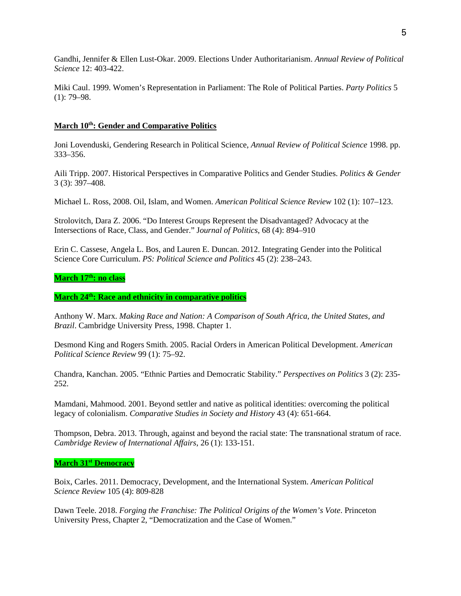Gandhi, Jennifer & Ellen Lust-Okar. 2009. Elections Under Authoritarianism. *Annual Review of Political Science* 12: 403-422.

Miki Caul. 1999. Women's Representation in Parliament: The Role of Political Parties. *Party Politics* 5 (1): 79–98.

## **March 10th: Gender and Comparative Politics**

Joni Lovenduski, Gendering Research in Political Science, *Annual Review of Political Science* 1998. pp. 333–356.

Aili Tripp. 2007. Historical Perspectives in Comparative Politics and Gender Studies. *Politics & Gender* 3 (3): 397–408.

Michael L. Ross, 2008. Oil, Islam, and Women. *American Political Science Review* 102 (1): 107–123.

Strolovitch, Dara Z. 2006. "Do Interest Groups Represent the Disadvantaged? Advocacy at the Intersections of Race, Class, and Gender." J*ournal of Politics*, 68 (4): 894–910

Erin C. Cassese, Angela L. Bos, and Lauren E. Duncan. 2012. Integrating Gender into the Political Science Core Curriculum. *PS: Political Science and Politics* 45 (2): 238–243.

## March 17<sup>th</sup>: no class

**March 24th: Race and ethnicity in comparative politics**

Anthony W. Marx. *Making Race and Nation: A Comparison of South Africa, the United States, and Brazil*. Cambridge University Press, 1998. Chapter 1.

Desmond King and Rogers Smith. 2005. Racial Orders in American Political Development. *American Political Science Review* 99 (1): 75–92.

Chandra, Kanchan. 2005. "Ethnic Parties and Democratic Stability." *Perspectives on Politics* 3 (2): 235- 252.

Mamdani, Mahmood. 2001. Beyond settler and native as political identities: overcoming the political legacy of colonialism. *Comparative Studies in Society and History* 43 (4): 651-664.

Thompson, Debra. 2013. Through, against and beyond the racial state: The transnational stratum of race. *Cambridge Review of International Affairs*, 26 (1): 133-151.

### **March 31st Democracy**

Boix, Carles. 2011. Democracy, Development, and the International System. *American Political Science Review* 105 (4): 809-828

Dawn Teele. 2018. *Forging the Franchise: The Political Origins of the Women's Vote*. Princeton University Press, Chapter 2, "Democratization and the Case of Women."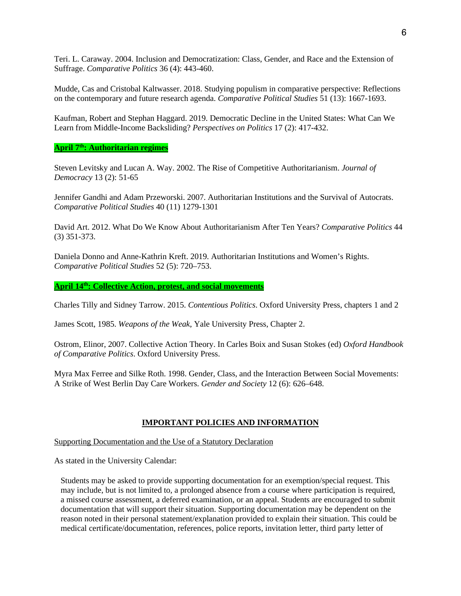Teri. L. Caraway. 2004. Inclusion and Democratization: Class, Gender, and Race and the Extension of Suffrage. *Comparative Politics* 36 (4): 443-460.

Mudde, Cas and Cristobal Kaltwasser. 2018. Studying populism in comparative perspective: Reflections on the contemporary and future research agenda. *Comparative Political Studies* 51 (13): 1667-1693.

Kaufman, Robert and Stephan Haggard. 2019. Democratic Decline in the United States: What Can We Learn from Middle-Income Backsliding? *Perspectives on Politics* 17 (2): 417-432.

**April 7th: Authoritarian regimes**

Steven Levitsky and Lucan A. Way. 2002. The Rise of Competitive Authoritarianism. *Journal of Democracy* 13 (2): 51-65

Jennifer Gandhi and Adam Przeworski. 2007. Authoritarian Institutions and the Survival of Autocrats. *Comparative Political Studies* 40 (11) 1279-1301

David Art. 2012. What Do We Know About Authoritarianism After Ten Years? *Comparative Politics* 44 (3) 351-373.

Daniela Donno and Anne-Kathrin Kreft. 2019. Authoritarian Institutions and Women's Rights. *Comparative Political Studies* 52 (5): 720–753.

**April 14th: Collective Action, protest, and social movements**

Charles Tilly and Sidney Tarrow. 2015. *Contentious Politics*. Oxford University Press, chapters 1 and 2

James Scott, 1985. *Weapons of the Weak*, Yale University Press, Chapter 2.

Ostrom, Elinor, 2007. Collective Action Theory. In Carles Boix and Susan Stokes (ed) *Oxford Handbook of Comparative Politics*. Oxford University Press.

Myra Max Ferree and Silke Roth. 1998. Gender, Class, and the Interaction Between Social Movements: A Strike of West Berlin Day Care Workers. *Gender and Society* 12 (6): 626–648.

#### **IMPORTANT POLICIES AND INFORMATION**

Supporting Documentation and the Use of a Statutory Declaration

As stated in the University Calendar:

Students may be asked to provide supporting documentation for an exemption/special request. This may include, but is not limited to, a prolonged absence from a course where participation is required, a missed course assessment, a deferred examination, or an appeal. Students are encouraged to submit documentation that will support their situation. Supporting documentation may be dependent on the reason noted in their personal statement/explanation provided to explain their situation. This could be medical certificate/documentation, references, police reports, invitation letter, third party letter of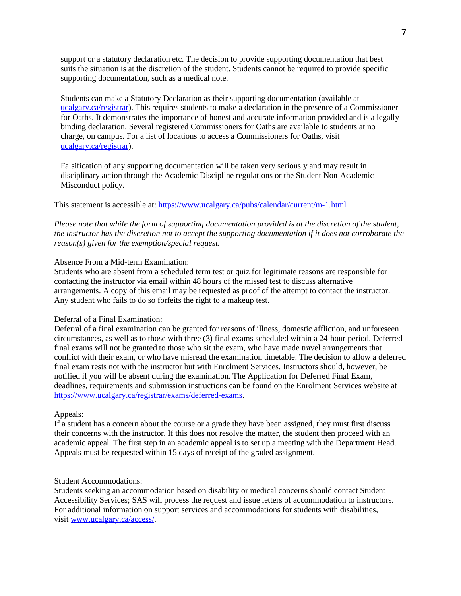support or a statutory declaration etc. The decision to provide supporting documentation that best suits the situation is at the discretion of the student. Students cannot be required to provide specific supporting documentation, such as a medical note.

Students can make a Statutory Declaration as their supporting documentation (available at ucalgary.ca/registrar). This requires students to make a declaration in the presence of a Commissioner for Oaths. It demonstrates the importance of honest and accurate information provided and is a legally binding declaration. Several registered Commissioners for Oaths are available to students at no charge, on campus. For a list of locations to access a Commissioners for Oaths, visit [ucalgary.ca/registrar\)](http://www.ucalgary.ca/registrar).

Falsification of any supporting documentation will be taken very seriously and may result in disciplinary action through the Academic Discipline regulations or the Student Non-Academic Misconduct policy.

This statement is accessible at:<https://www.ucalgary.ca/pubs/calendar/current/m-1.html>

*Please note that while the form of supporting documentation provided is at the discretion of the student, the instructor has the discretion not to accept the supporting documentation if it does not corroborate the reason(s) given for the exemption/special request.*

### Absence From a Mid-term Examination:

Students who are absent from a scheduled term test or quiz for legitimate reasons are responsible for contacting the instructor via email within 48 hours of the missed test to discuss alternative arrangements. A copy of this email may be requested as proof of the attempt to contact the instructor. Any student who fails to do so forfeits the right to a makeup test.

## Deferral of a Final Examination:

Deferral of a final examination can be granted for reasons of illness, domestic affliction, and unforeseen circumstances, as well as to those with three (3) final exams scheduled within a 24-hour period. Deferred final exams will not be granted to those who sit the exam, who have made travel arrangements that conflict with their exam, or who have misread the examination timetable. The decision to allow a deferred final exam rests not with the instructor but with Enrolment Services. Instructors should, however, be notified if you will be absent during the examination. The Application for Deferred Final Exam, deadlines, requirements and submission instructions can be found on the Enrolment Services website at [https://www.ucalgary.ca/registrar/exams/deferred-exams.](https://www.ucalgary.ca/registrar/exams/deferred-exams)

### Appeals:

If a student has a concern about the course or a grade they have been assigned, they must first discuss their concerns with the instructor. If this does not resolve the matter, the student then proceed with an academic appeal. The first step in an academic appeal is to set up a meeting with the Department Head. Appeals must be requested within 15 days of receipt of the graded assignment.

# Student Accommodations:

Students seeking an accommodation based on disability or medical concerns should contact Student Accessibility Services; SAS will process the request and issue letters of accommodation to instructors. For additional information on support services and accommodations for students with disabilities, visit [www.ucalgary.ca/access/.](http://www.ucalgary.ca/access/)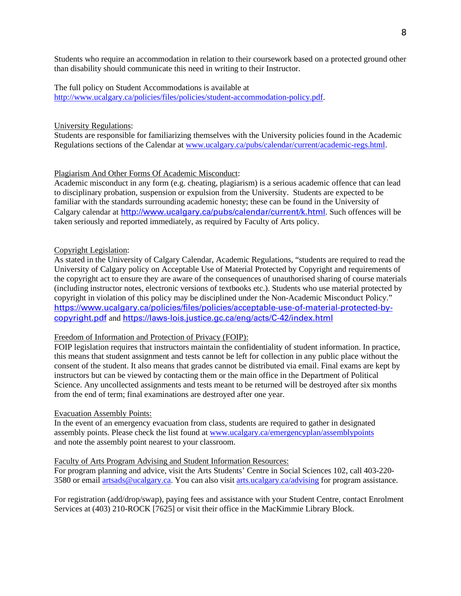Students who require an accommodation in relation to their coursework based on a protected ground other than disability should communicate this need in writing to their Instructor.

The full policy on Student Accommodations is available at [http://www.ucalgary.ca/policies/files/policies/student-accommodation-policy.pdf.](http://www.ucalgary.ca/policies/files/policies/student-accommodation-policy.pdf)

#### University Regulations:

Students are responsible for familiarizing themselves with the University policies found in the Academic Regulations sections of the Calendar a[t www.ucalgary.ca/pubs/calendar/current/academic-regs.html.](http://www.ucalgary.ca/pubs/calendar/current/academic-regs.html)

## Plagiarism And Other Forms Of Academic Misconduct:

Academic misconduct in any form (e.g. cheating, plagiarism) is a serious academic offence that can lead to disciplinary probation, suspension or expulsion from the University. Students are expected to be familiar with the standards surrounding academic honesty; these can be found in the University of Calgary calendar at <http://www.ucalgary.ca/pubs/calendar/current/k.html>. Such offences will be taken seriously and reported immediately, as required by Faculty of Arts policy.

#### Copyright Legislation:

As stated in the University of Calgary Calendar, Academic Regulations, "students are required to read the University of Calgary policy on Acceptable Use of Material Protected by Copyright and requirements of the copyright act to ensure they are aware of the consequences of unauthorised sharing of course materials (including instructor notes, electronic versions of textbooks etc.). Students who use material protected by copyright in violation of this policy may be disciplined under the Non-Academic Misconduct Policy." [https://www.ucalgary.ca/policies/files/policies/acceptable-use-of-material-protected-by](https://www.ucalgary.ca/policies/files/policies/acceptable-use-of-material-protected-by-copyright.pdf)[copyright.pdf](https://www.ucalgary.ca/policies/files/policies/acceptable-use-of-material-protected-by-copyright.pdf) and <https://laws-lois.justice.gc.ca/eng/acts/C-42/index.html>

### Freedom of Information and Protection of Privacy (FOIP):

FOIP legislation requires that instructors maintain the confidentiality of student information. In practice, this means that student assignment and tests cannot be left for collection in any public place without the consent of the student. It also means that grades cannot be distributed via email. Final exams are kept by instructors but can be viewed by contacting them or the main office in the Department of Political Science. Any uncollected assignments and tests meant to be returned will be destroyed after six months from the end of term; final examinations are destroyed after one year.

### Evacuation Assembly Points:

In the event of an emergency evacuation from class, students are required to gather in designated assembly points. Please check the list found at [www.ucalgary.ca/emergencyplan/assemblypoints](http://www.ucalgary.ca/emergencyplan/assemblypoints) and note the assembly point nearest to your classroom.

#### Faculty of Arts Program Advising and Student Information Resources:

For program planning and advice, visit the Arts Students' Centre in Social Sciences 102, call 403-220 3580 or email [artsads@ucalgary.ca.](mailto:artsads@ucalgary.ca) You can also visit [arts.ucalgary.ca/advising](http://arts.ucalgary.ca/advising) for program assistance.

For registration (add/drop/swap), paying fees and assistance with your Student Centre, contact Enrolment Services at (403) 210-ROCK [7625] or visit their office in the MacKimmie Library Block.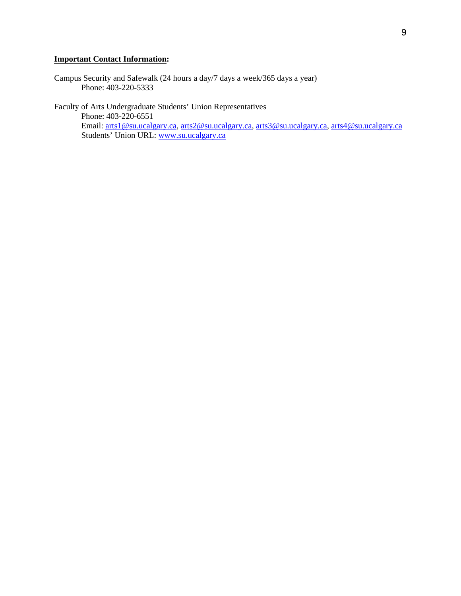# **Important Contact Information:**

Campus Security and Safewalk (24 hours a day/7 days a week/365 days a year) Phone: 403-220-5333

Faculty of Arts Undergraduate Students' Union Representatives Phone: 403-220-6551 Email: [arts1@su.ucalgary.ca,](mailto:arts1@su.ucalgary.ca) [arts2@su.ucalgary.ca,](mailto:arts2@su.ucalgary.ca) [arts3@su.ucalgary.ca,](mailto:arts3@su.ucalgary.ca) [arts4@su.ucalgary.ca](mailto:arts4@su.ucalgary.ca) Students' Union URL: [www.su.ucalgary.ca](http://www.su.ucalgary.ca/)